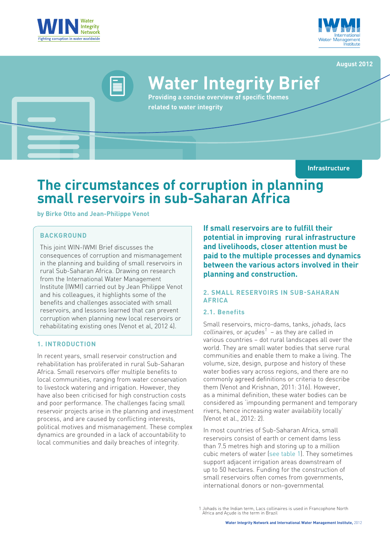



#### **August 2012**

# **Water Integrity Brief**

**Providing a concise overview of specific themes related to water integrity**

**Infrastructure**

## **The circumstances of corruption in planning small reservoirs in sub-Saharan Africa**

**by Birke Otto and Jean-Philippe Venot**

#### **BACKGROUND**

This joint WIN-IWMI Brief discusses the consequences of corruption and mismanagement in the planning and building of small reservoirs in rural Sub-Saharan Africa. Drawing on research from the International Water Management Institute (IWMI) carried out by Jean Philippe Venot and his colleagues, it highlights some of the benefits and challenges associated with small reservoirs, and lessons learned that can prevent corruption when planning new local reservoirs or rehabilitating existing ones (Venot et al, 2012 4).

#### **1. INTRODUCTION**

In recent years, small reservoir construction and rehabilitation has proliferated in rural Sub-Saharan Africa. Small reservoirs offer multiple benefits to local communities, ranging from water conservation to livestock watering and irrigation. However, they have also been criticised for high construction costs and poor performance. The challenges facing small reservoir projects arise in the planning and investment process, and are caused by conflicting interests, political motives and mismanagement. These complex dynamics are grounded in a lack of accountability to local communities and daily breaches of integrity.

**If small reservoirs are to fulfill their potential in improving rural infrastructure and livelihoods, closer attention must be paid to the multiple processes and dynamics between the various actors involved in their planning and construction.**

#### **2. SMALL RESERVOIRS IN SUB-SAHARAN AFRICA**

#### **2.1. Benefits**

Small reservoirs, micro-dams, tanks, johads, lacs collinaires, or açudes<sup>1</sup> – as they are called in various countries – dot rural landscapes all over the world. They are small water bodies that serve rural communities and enable them to make a living. The volume, size, design, purpose and history of these water bodies vary across regions, and there are no commonly agreed definitions or criteria to describe them (Venot and Krishnan, 2011: 316). However, as a minimal definition, these water bodies can be considered as 'impounding permanent and temporary rivers, hence increasing water availability locally' (Venot et al., 2012: 2).

In most countries of Sub-Saharan Africa, small reservoirs consist of earth or cement dams less than 7.5 metres high and storing up to a million cubic meters of water (see table 1). They sometimes support adjacent irrigation areas downstream of up to 50 hectares. Funding for the construction of small reservoirs often comes from governments, international donors or non-governmental

<sup>1</sup> Johads is the Indian term, Lacs collinaires is used in Francophone North Africa and Açude is the term in Brazil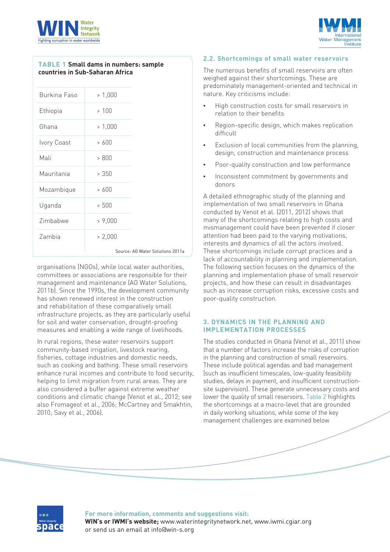



#### **TABLE 1 Small dams in numbers: sample countries in Sub-Saharan Africa**

organisations (NGOs), while local water authorities, committees or associations are responsible for their management and maintenance (AG Water Solutions, 2011b). Since the 1990s, the development community has shown renewed interest in the construction and rehabilitation of these comparatively small infrastructure projects, as they are particularly useful for soil and water conservation, drought-proofing measures and enabling a wide range of livelihoods.

In rural regions, these water reservoirs support community-based irrigation, livestock rearing, fisheries, cottage industries and domestic needs, such as cooking and bathing. These small reservoirs enhance rural incomes and contribute to food security, helping to limit migration from rural areas. They are also considered a buffer against extreme weather conditions and climatic change (Venot et al., 2012; see also Fromageot et al., 2006; McCartney and Smakhtin, 2010; Savy et al., 2006).

#### **2.2. Shortcomings of small water reservoirs**

The numerous benefits of small reservoirs are often weighed against their shortcomings. These are predominately management-oriented and technical in nature. Key criticisms include:

- High construction costs for small reservoirs in relation to their benefits
- Region-specific design, which makes replication difficult
- Exclusion of local communities from the planning. design, construction and maintenance process
- Poor-quality construction and low performance
- Inconsistent commitment by governments and donors

A detailed ethnographic study of the planning and implementation of two small reservoirs in Ghana conducted by Venot et al. (2011, 2012) shows that many of the shortcomings relating to high costs and mismanagement could have been prevented if closer attention had been paid to the varying motivations, interests and dynamics of all the actors involved. These shortcomings include corrupt practices and a lack of accountability in planning and implementation. The following section focuses on the dynamics of the planning and implementation phase of small reservoir projects, and how these can result in disadvantages such as increase corruption risks, excessive costs and poor-quality construction.

#### **3. DYNAMICS IN THE PLANNING AND IMPLEMENTATION PROCESSES**

The studies conducted in Ghana (Venot et al., 2011) show that a number of factors increase the risks of corruption in the planning and construction of small reservoirs. These include political agendas and bad management (such as insufficient timescales, low-quality feasibility studies, delays in payment, and insufficient constructionsite supervision). These generate unnecessary costs and lower the quality of small reservoirs. Table 2 highlights the shortcomings at a macro-level that are grounded in daily working situations, while some of the key management challenges are examined below



#### **For more information, comments and suggestions visit:**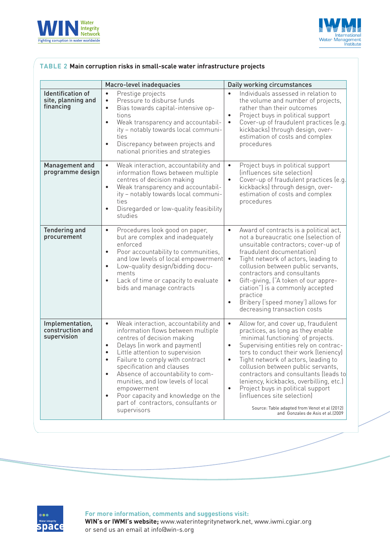



|                                                             | Macro-level inadequacies                                                                                                                                                                                                                                                                                                                                                                                                                                                                                       | Daily working circumstances                                                                                                                                                                                                                                                                                                                                                                                                                                                                                                                                                   |
|-------------------------------------------------------------|----------------------------------------------------------------------------------------------------------------------------------------------------------------------------------------------------------------------------------------------------------------------------------------------------------------------------------------------------------------------------------------------------------------------------------------------------------------------------------------------------------------|-------------------------------------------------------------------------------------------------------------------------------------------------------------------------------------------------------------------------------------------------------------------------------------------------------------------------------------------------------------------------------------------------------------------------------------------------------------------------------------------------------------------------------------------------------------------------------|
| <b>Identification of</b><br>site, planning and<br>financing | Prestige projects<br>$\bullet$<br>Pressure to disburse funds<br>$\bullet$<br>Bias towards capital-intensive op-<br>$\bullet$<br>tions<br>Weak transparency and accountabil-<br>$\bullet$<br>ity - notably towards local communi-<br>ties<br>Discrepancy between projects and<br>$\bullet$<br>national priorities and strategies                                                                                                                                                                                | Individuals assessed in relation to<br>$\bullet$<br>the volume and number of projects,<br>rather than their outcomes<br>Project buys in political support<br>$\bullet$<br>Cover-up of fraudulent practices (e.g.<br>$\bullet$<br>kickbacks) through design, over-<br>estimation of costs and complex<br>procedures                                                                                                                                                                                                                                                            |
| Management and<br>programme design                          | Weak interaction, accountability and<br>$\bullet$<br>information flows between multiple<br>centres of decision making<br>Weak transparency and accountabil-<br>$\bullet$<br>ity - notably towards local communi-<br>ties<br>Disregarded or low-quality feasibility<br>$\bullet$<br>studies                                                                                                                                                                                                                     | Project buys in political support<br>$\bullet$<br>(influences site selection)<br>Cover-up of fraudulent practices (e.g.<br>$\bullet$<br>kickbacks) through design, over-<br>estimation of costs and complex<br>procedures                                                                                                                                                                                                                                                                                                                                                     |
| <b>Tendering and</b><br>procurement                         | Procedures look good on paper,<br>$\bullet$<br>but are complex and inadequately<br>enforced<br>Poor accountability to communities,<br>$\bullet$<br>and low levels of local empowerment •<br>Low-quality design/bidding docu-<br>$\bullet$<br>ments<br>Lack of time or capacity to evaluate<br>$\bullet$<br>bids and manage contracts                                                                                                                                                                           | Award of contracts is a political act,<br>$\bullet$<br>not a bureaucratic one (selection of<br>unsuitable contractors; cover-up of<br>fraudulent documentation)<br>Tight network of actors, leading to<br>collusion between public servants,<br>contractors and consultants<br>Gift-giving, ("A token of our appre-<br>$\bullet$<br>ciation") is a commonly accepted<br>practice<br>Bribery ('speed money') allows for<br>$\bullet$<br>decreasing transaction costs                                                                                                           |
| Implementation,<br>construction and<br>supervision          | $\bullet$<br>Weak interaction, accountability and<br>information flows between multiple<br>centres of decision making<br>Delays (in work and payment)<br>$\bullet$<br>Little attention to supervision<br>$\bullet$<br>Failure to comply with contract<br>$\bullet$<br>specification and clauses<br>Absence of accountability to com-<br>$\bullet$<br>munities, and low levels of local<br>empowerment<br>Poor capacity and knowledge on the<br>$\bullet$<br>part of contractors, consultants or<br>supervisors | $\bullet$<br>Allow for, and cover up, fraudulent<br>practices, as long as they enable<br>minimal functioning' of projects.<br>Supervising entities rely on contrac-<br>$\bullet$<br>tors to conduct their work (leniency)<br>Tight network of actors, leading to<br>$\bullet$<br>collusion between public servants,<br>contractors and consultants (leads to<br>leniency, kickbacks, overbilling, etc.)<br>Project buys in political support<br>$\bullet$<br>(influences site selection)<br>Source: Table adapted from Venot et al (2012)<br>and Gonzales de Asis et al.(2009 |

### **TABLE 2 Main corruption risks in small-scale water infrastructure projects**



**For more information, comments and suggestions visit:**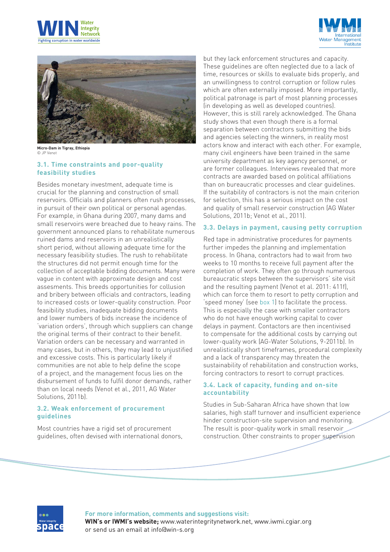





**Micro-Dam in Tigray, Ethiopia** © JP Venot

#### **3.1. Time constraints and poor-quality feasibility studies**

Besides monetary investment, adequate time is crucial for the planning and construction of small reservoirs. Officials and planners often rush processes, in pursuit of their own political or personal agendas. For example, in Ghana during 2007, many dams and small reservoirs were breached due to heavy rains. The government announced plans to rehabilitate numerous ruined dams and reservoirs in an unrealistically short period, without allowing adequate time for the necessary feasibility studies. The rush to rehabilitate the structures did not permit enough time for the collection of acceptable bidding documents. Many were vague in content with approximate design and cost assesments. This breeds opportunities for collusion and bribery between officials and contractors, leading to increased costs or lower-quality construction. Poor feasibility studies, inadequate bidding documents and lower numbers of bids increase the incidence of 'variation orders', through which suppliers can change the original terms of their contract to their benefit. Variation orders can be necessary and warranted in many cases, but in others, they may lead to unjustified and excessive costs. This is particularly likely if communities are not able to help define the scope of a project, and the management focus lies on the disbursement of funds to fulfil donor demands, rather than on local needs (Venot et al., 2011, AG Water Solutions, 2011b).

#### **3.2. Weak enforcement of procurement guidelines**

Most countries have a rigid set of procurement guidelines, often devised with international donors, but they lack enforcement structures and capacity. These guidelines are often neglected due to a lack of time, resources or skills to evaluate bids properly, and an unwillingness to control corruption or follow rules which are often externally imposed. More importantly, political patronage is part of most planning processes (in developing as well as developed countries). However, this is still rarely acknowledged. The Ghana study shows that even though there is a formal separation between contractors submitting the bids and agencies selecting the winners, in reality most actors know and interact with each other. For example, many civil engineers have been trained in the same university department as key agency personnel, or are former colleagues. Interviews revealed that more contracts are awarded based on political affiliations than on bureaucratic processes and clear guidelines. If the suitability of contractors is not the main criterion for selection, this has a serious impact on the cost and quality of small reservoir construction (AG Water Solutions, 2011b; Venot et al., 2011).

#### **3.3. Delays in payment, causing petty corruption**

Red tape in administrative procedures for payments further impedes the planning and implementation process. In Ghana, contractors had to wait from two weeks to 10 months to receive full payment after the completion of work. They often go through numerous bureaucratic steps between the supervisors' site visit and the resulting payment (Venot et al. 2011: 411f), which can force them to resort to petty corruption and 'speed money' (see box 1) to facilitate the process. This is especially the case with smaller contractors who do not have enough working capital to cover delays in payment. Contactors are then incentivised to compensate for the additional costs by carrying out lower-quality work (AG-Water Solutions, 9-2011b). In unrealistically short timeframes, procedural complexity and a lack of transparency may threaten the sustainability of rehabilitation and construction works, forcing contractors to resort to corrupt practices.

#### **3.4. Lack of capacity, funding and on-site accountability**

Studies in Sub-Saharan Africa have shown that low salaries, high staff turnover and insufficient experience hinder construction-site supervision and monitoring. The result is poor-quality work in small reservoir construction. Other constraints to proper supervision



**For more information, comments and suggestions visit:**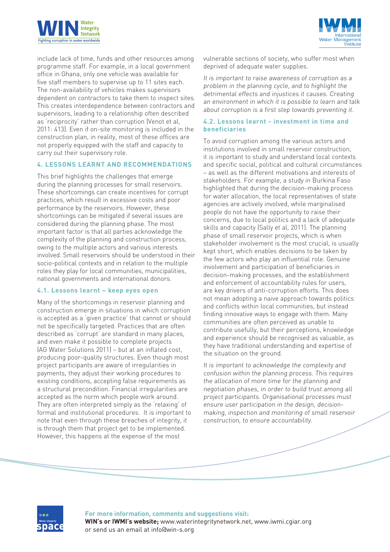



include lack of time, funds and other resources among programme staff. For example, in a local government office in Ghana, only one vehicle was available for five staff members to supervise up to 11 sites each. The non-availability of vehicles makes supervisors dependent on contractors to take them to inspect sites. This creates interdependence between contractors and supervisors, leading to a relationship often described as 'reciprocity' rather than corruption (Venot et al, 2011: 413). Even if on-site monitoring is included in the construction plan, in reality, most of these offices are not properly equipped with the staff and capacity to carry out their supervisory role.

#### **4. LESSONS LEARNT AND RECOMMENDATIONS**

This brief highlights the challenges that emerge during the planning processes for small reservoirs. These shortcomings can create incentives for corrupt practices, which result in excessive costs and poor performance by the reservoirs. However, these shortcomings can be mitigated if several issues are considered during the planning phase. The most important factor is that all parties acknowledge the complexity of the planning and construction process, owing to the multiple actors and various interests involved. Small reservoirs should be understood in their socio-political contexts and in relation to the multiple roles they play for local communities, municipalities, national governments and international donors.

#### **4.1. Lessons learnt – keep eyes open**

Many of the shortcomings in reservoir planning and construction emerge in situations in which corruption is accepted as a 'given practice' that cannot or should not be specifically targeted. Practices that are often described as 'corrupt' are standard in many places, and even make it possible to complete projects (AG Water Solutions 2011) – but at an inflated cost, producing poor-quality structures. Even though most project participants are aware of irregularities in payments, they adjust their working procedures to existing conditions, accepting false requirements as a structural precondition. Financial irregularities are accepted as the norm which people work around. They are often interpreted simply as the 'relaxing' of formal and institutional procedures. It is important to note that even through these breaches of integrity, it is through them that project get to be implemented. However, this happens at the expense of the most

vulnerable sections of society, who suffer most when deprived of adequate water supplies.

It is important to raise awareness of corruption as a problem in the planning cycle, and to highlight the detrimental effects and injustices it causes. Creating an environment in which it is possible to learn and talk about corruption is a first step towards preventing it.

#### **4.2. Lessons learnt - investment in time and beneficiaries**

To avoid corruption among the various actors and institutions involved in small reservoir construction, it is important to study and understand local contexts and specific social, political and cultural circumstances – as well as the different motivations and interests of stakeholders. For example, a study in Burkina Faso highlighted that during the decision-making process for water allocation, the local representatives of state agencies are actively involved, while marginalised people do not have the opportunity to raise their concerns, due to local politics and a lack of adequate skills and capacity (Sally et al, 2011). The planning phase of small reservoir projects, which is when stakeholder involvement is the most crucial, is usually kept short, which enables decisions to be taken by the few actors who play an influential role. Genuine involvement and participation of beneficiaries in decision-making processes, and the establishment and enforcement of accountability rules for users, are key drivers of anti-corruption efforts. This does not mean adopting a naive approach towards politics and conflicts within local communities, but instead finding innovative ways to engage with them. Many communities are often perceived as unable to contribute usefully, but their perceptions, knowledge and experience should be recognised as valuable, as they have traditional understanding and expertise of the situation on the ground.

It is important to acknowledge the complexity and confusion within the planning process. This requires the allocation of more time for the planning and negotiation phases, in order to build trust among all project participants. Organisational processes must ensure user participation in the design, decisionmaking, inspection and monitoring of small reservoir construction, to ensure accountability.